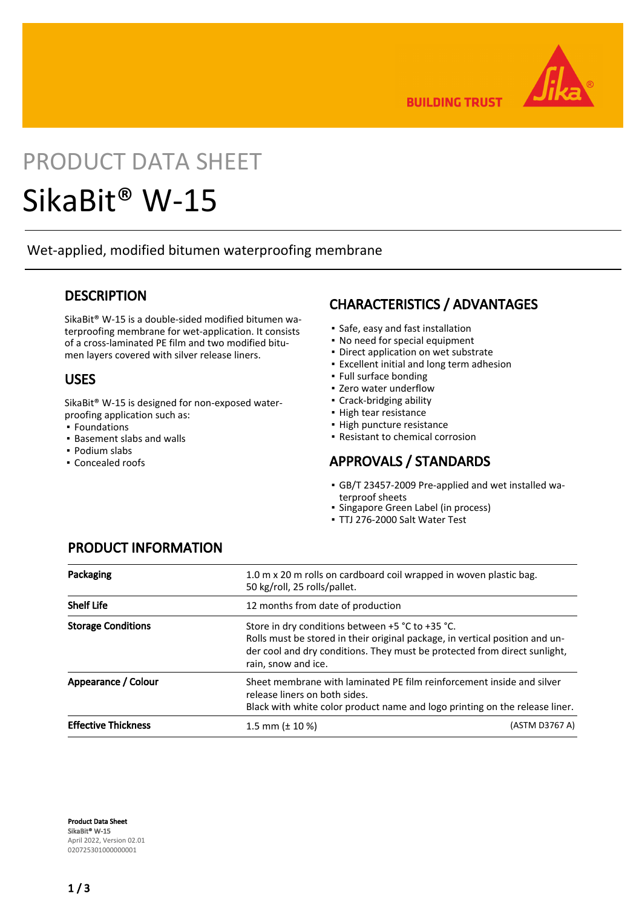

**BUILDING TRUST** 

# PRODUCT DATA SHEET

## SikaBit® W-15

Wet-applied, modified bitumen waterproofing membrane

#### **DESCRIPTION**

SikaBit® W-15 is a double-sided modified bitumen waterproofing membrane for wet-application. It consists of a cross-laminated PE film and two modified bitumen layers covered with silver release liners.

#### USES

SikaBit® W-15 is designed for non-exposed waterproofing application such as:

- Foundations
- Basement slabs and walls
- Podium slabs
- Concealed roofs

#### CHARACTERISTICS / ADVANTAGES

- Safe, easy and fast installation
- No need for special equipment
- **Direct application on wet substrate**
- **Excellent initial and long term adhesion**
- Full surface bonding
- Zero water underflow
- Crack-bridging ability
- High tear resistance
- High puncture resistance
- Resistant to chemical corrosion

#### APPROVALS / STANDARDS

- GB/T 23457-2009 Pre-applied and wet installed wa-▪ terproof sheets
- Singapore Green Label (in process)
- TTJ 276-2000 Salt Water Test

| Packaging                  | 50 kg/roll, 25 rolls/pallet.      | 1.0 m x 20 m rolls on cardboard coil wrapped in woven plastic bag.                                                                                                                                                |  |
|----------------------------|-----------------------------------|-------------------------------------------------------------------------------------------------------------------------------------------------------------------------------------------------------------------|--|
| <b>Shelf Life</b>          | 12 months from date of production |                                                                                                                                                                                                                   |  |
| <b>Storage Conditions</b>  | rain, snow and ice.               | Store in dry conditions between $+5$ °C to $+35$ °C.<br>Rolls must be stored in their original package, in vertical position and un-<br>der cool and dry conditions. They must be protected from direct sunlight, |  |
| Appearance / Colour        | release liners on both sides.     | Sheet membrane with laminated PE film reinforcement inside and silver<br>Black with white color product name and logo printing on the release liner.                                                              |  |
| <b>Effective Thickness</b> | 1.5 mm ( $\pm$ 10 %)              | (ASTM D3767 A)                                                                                                                                                                                                    |  |

#### PRODUCT INFORMATION

Product Data Sheet SikaBit® W-15 April 2022, Version 02.01 020725301000000001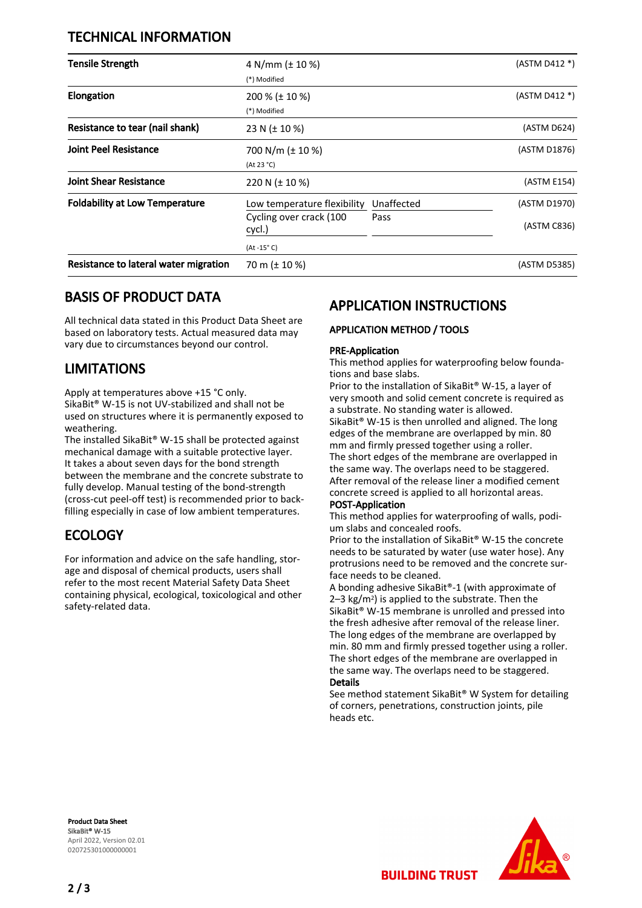#### TECHNICAL INFORMATION

| <b>Tensile Strength</b>               | 4 N/mm ( $\pm$ 10 %)<br>(*) Modified                                              |                    | (ASTM D412 *)               |
|---------------------------------------|-----------------------------------------------------------------------------------|--------------------|-----------------------------|
| Elongation                            | $200\%$ ( $\pm$ 10 %)<br>(*) Modified                                             |                    | (ASTM D412 *)               |
| Resistance to tear (nail shank)       | 23 N ( $\pm$ 10 %)                                                                |                    | (ASTM D624)                 |
| <b>Joint Peel Resistance</b>          | 700 N/m ( $\pm$ 10 %)<br>(At 23 °C)                                               |                    | (ASTM D1876)                |
| <b>Joint Shear Resistance</b>         | 220 N $(\pm 10 \%)$                                                               |                    | (ASTM E154)                 |
| <b>Foldability at Low Temperature</b> | Low temperature flexibility<br>Cycling over crack (100<br>cycl.)<br>$(At -15o C)$ | Unaffected<br>Pass | (ASTM D1970)<br>(ASTM C836) |
| Resistance to lateral water migration | 70 m ( $\pm$ 10 %)                                                                |                    | (ASTM D5385)                |

#### BASIS OF PRODUCT DATA

All technical data stated in this Product Data Sheet are based on laboratory tests. Actual measured data may vary due to circumstances beyond our control.

#### LIMITATIONS

Apply at temperatures above +15 °C only. SikaBit® W-15 is not UV-stabilized and shall not be used on structures where it is permanently exposed to weathering.

The installed SikaBit® W-15 shall be protected against mechanical damage with a suitable protective layer. It takes a about seven days for the bond strength between the membrane and the concrete substrate to fully develop. Manual testing of the bond-strength (cross-cut peel-off test) is recommended prior to backfilling especially in case of low ambient temperatures.

#### ECOLOGY

For information and advice on the safe handling, storage and disposal of chemical products, users shall refer to the most recent Material Safety Data Sheet containing physical, ecological, toxicological and other safety-related data.

### APPLICATION INSTRUCTIONS

#### APPLICATION METHOD / TOOLS

#### PRE-Application

This method applies for waterproofing below foundations and base slabs.

Prior to the installation of SikaBit® W-15, a layer of very smooth and solid cement concrete is required as a substrate. No standing water is allowed. SikaBit® W-15 is then unrolled and aligned. The long edges of the membrane are overlapped by min. 80 mm and firmly pressed together using a roller. The short edges of the membrane are overlapped in the same way. The overlaps need to be staggered. After removal of the release liner a modified cement concrete screed is applied to all horizontal areas.

#### POST-Application

This method applies for waterproofing of walls, podium slabs and concealed roofs.

Prior to the installation of SikaBit® W-15 the concrete needs to be saturated by water (use water hose). Any protrusions need to be removed and the concrete surface needs to be cleaned.

A bonding adhesive SikaBit®-1 (with approximate of 2–3 kg/m2) is applied to the substrate. Then the SikaBit® W-15 membrane is unrolled and pressed into the fresh adhesive after removal of the release liner. The long edges of the membrane are overlapped by min. 80 mm and firmly pressed together using a roller. The short edges of the membrane are overlapped in the same way. The overlaps need to be staggered. Details

See method statement SikaBit® W System for detailing of corners, penetrations, construction joints, pile heads etc.

**BUILDING TRUST** 

Product Data Sheet SikaBit® W-15 April 2022, Version 02.01 020725301000000001